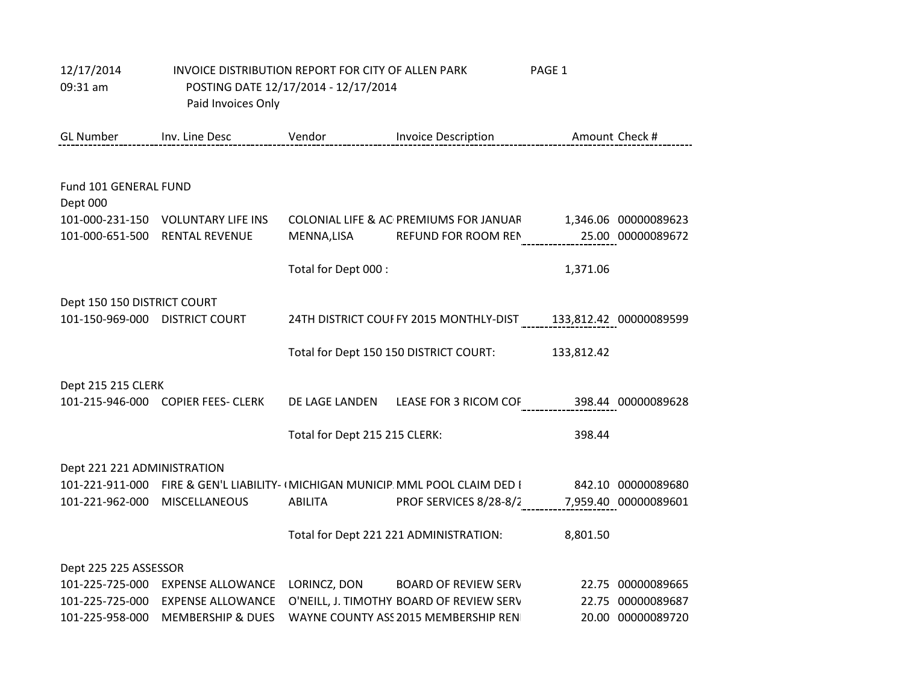| 12/17/2014<br>09:31 am            | INVOICE DISTRIBUTION REPORT FOR CITY OF ALLEN PARK<br>Paid Invoices Only | POSTING DATE 12/17/2014 - 12/17/2014 | PAGE 1                                                                         |                    |                      |
|-----------------------------------|--------------------------------------------------------------------------|--------------------------------------|--------------------------------------------------------------------------------|--------------------|----------------------|
| <b>GL Number</b>                  | Inv. Line Desc                                                           | Vendor                               | <b>Invoice Description</b>                                                     | Amount Check #     |                      |
|                                   |                                                                          |                                      |                                                                                |                    |                      |
| Fund 101 GENERAL FUND<br>Dept 000 |                                                                          |                                      |                                                                                |                    |                      |
|                                   | 101-000-231-150 VOLUNTARY LIFE INS                                       |                                      | COLONIAL LIFE & AC PREMIUMS FOR JANUAR                                         |                    | 1,346.06 00000089623 |
|                                   | 101-000-651-500 RENTAL REVENUE                                           | MENNA, LISA                          | REFUND FOR ROOM REN                                                            |                    | 25.00 00000089672    |
|                                   |                                                                          | Total for Dept 000 :                 |                                                                                | 1,371.06           |                      |
| Dept 150 150 DISTRICT COURT       |                                                                          |                                      |                                                                                |                    |                      |
| 101-150-969-000 DISTRICT COURT    |                                                                          |                                      | 24TH DISTRICT COUF FY 2015 MONTHLY-DIST 133,812.42 00000089599                 |                    |                      |
|                                   |                                                                          |                                      | Total for Dept 150 150 DISTRICT COURT:                                         | 133,812.42         |                      |
| Dept 215 215 CLERK                |                                                                          |                                      |                                                                                |                    |                      |
|                                   | 101-215-946-000 COPIER FEES- CLERK                                       | DE LAGE LANDEN                       | LEASE FOR 3 RICOM COF                                                          | 398.44 00000089628 |                      |
|                                   |                                                                          | Total for Dept 215 215 CLERK:        |                                                                                | 398.44             |                      |
| Dept 221 221 ADMINISTRATION       |                                                                          |                                      |                                                                                |                    |                      |
|                                   |                                                                          |                                      | 101-221-911-000 FIRE & GEN'L LIABILITY- (MICHIGAN MUNICIP MML POOL CLAIM DED I |                    | 842.10 00000089680   |
| 101-221-962-000                   | MISCELLANEOUS                                                            | <b>ABILITA</b>                       | PROF SERVICES 8/28-8/2 7,959.40 00000089601                                    |                    |                      |
|                                   |                                                                          |                                      | Total for Dept 221 221 ADMINISTRATION:                                         | 8,801.50           |                      |
| Dept 225 225 ASSESSOR             |                                                                          |                                      |                                                                                |                    |                      |
| 101-225-725-000                   | <b>EXPENSE ALLOWANCE</b>                                                 | LORINCZ, DON                         | <b>BOARD OF REVIEW SERV</b>                                                    |                    | 22.75 00000089665    |
| 101-225-725-000                   | <b>EXPENSE ALLOWANCE</b>                                                 |                                      | O'NEILL, J. TIMOTHY BOARD OF REVIEW SERV                                       |                    | 22.75 00000089687    |
| 101-225-958-000                   | <b>MEMBERSHIP &amp; DUES</b>                                             |                                      | WAYNE COUNTY ASS 2015 MEMBERSHIP REN                                           |                    | 20.00 00000089720    |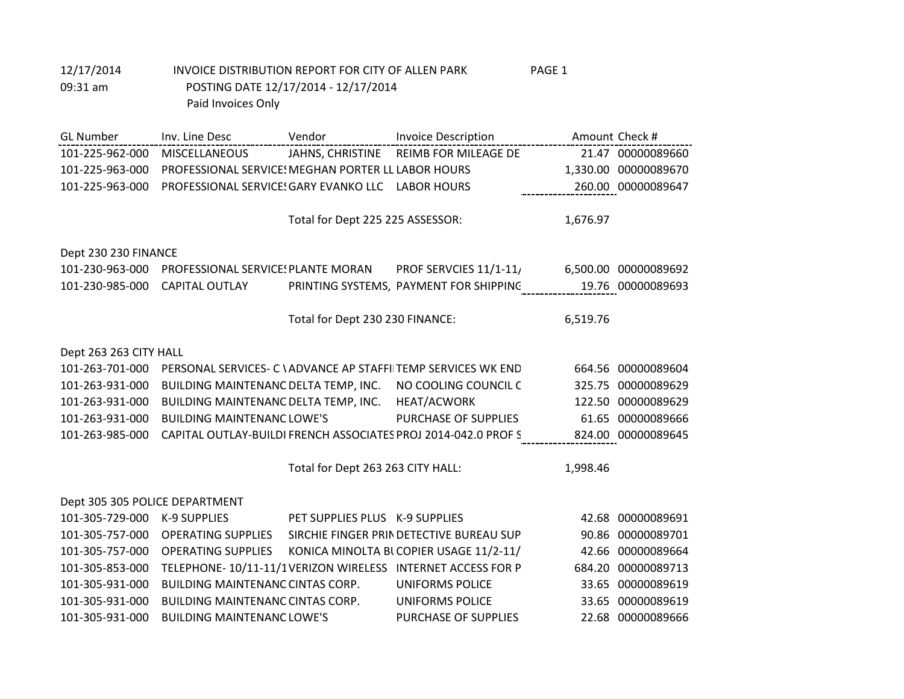| <b>GL Number</b>               | Inv. Line Desc                                     | Vendor                            | <b>Invoice Description</b>                                     |          | Amount Check #       |
|--------------------------------|----------------------------------------------------|-----------------------------------|----------------------------------------------------------------|----------|----------------------|
| 101-225-962-000                | MISCELLANEOUS                                      | JAHNS, CHRISTINE                  | REIMB FOR MILEAGE DE                                           |          | 21.47 00000089660    |
| 101-225-963-000                | PROFESSIONAL SERVICE: MEGHAN PORTER LL LABOR HOURS |                                   |                                                                |          | 1,330.00 00000089670 |
| 101-225-963-000                | PROFESSIONAL SERVICE: GARY EVANKO LLC              |                                   | <b>LABOR HOURS</b>                                             |          | 260.00 00000089647   |
|                                |                                                    |                                   |                                                                |          |                      |
|                                |                                                    | Total for Dept 225 225 ASSESSOR:  |                                                                | 1,676.97 |                      |
|                                |                                                    |                                   |                                                                |          |                      |
| Dept 230 230 FINANCE           |                                                    |                                   |                                                                |          |                      |
| 101-230-963-000                | PROFESSIONAL SERVICE! PLANTE MORAN                 |                                   | PROF SERVCIES 11/1-11/                                         |          | 6,500.00 00000089692 |
| 101-230-985-000                | <b>CAPITAL OUTLAY</b>                              |                                   | PRINTING SYSTEMS, PAYMENT FOR SHIPPING                         |          | 19.76 00000089693    |
|                                |                                                    |                                   |                                                                |          |                      |
|                                |                                                    | Total for Dept 230 230 FINANCE:   |                                                                | 6,519.76 |                      |
|                                |                                                    |                                   |                                                                |          |                      |
| Dept 263 263 CITY HALL         |                                                    |                                   |                                                                |          |                      |
| 101-263-701-000                |                                                    |                                   | PERSONAL SERVICES- C \ ADVANCE AP STAFFIITEMP SERVICES WK END  |          | 664.56 00000089604   |
| 101-263-931-000                | BUILDING MAINTENANC DELTA TEMP, INC.               |                                   | NO COOLING COUNCIL C                                           |          | 325.75 00000089629   |
| 101-263-931-000                | BUILDING MAINTENANC DELTA TEMP, INC.               |                                   | <b>HEAT/ACWORK</b>                                             |          | 122.50 00000089629   |
| 101-263-931-000                | <b>BUILDING MAINTENANC LOWE'S</b>                  |                                   | PURCHASE OF SUPPLIES                                           |          | 61.65 00000089666    |
| 101-263-985-000                |                                                    |                                   | CAPITAL OUTLAY-BUILDI FRENCH ASSOCIATES PROJ 2014-042.0 PROF S |          | 824.00 00000089645   |
|                                |                                                    |                                   |                                                                |          |                      |
|                                |                                                    | Total for Dept 263 263 CITY HALL: |                                                                | 1,998.46 |                      |
|                                |                                                    |                                   |                                                                |          |                      |
| Dept 305 305 POLICE DEPARTMENT |                                                    |                                   |                                                                |          |                      |
| 101-305-729-000                | K-9 SUPPLIES                                       | PET SUPPLIES PLUS K-9 SUPPLIES    |                                                                |          | 42.68 00000089691    |
| 101-305-757-000                | <b>OPERATING SUPPLIES</b>                          |                                   | SIRCHIE FINGER PRIN DETECTIVE BUREAU SUP                       |          | 90.86 00000089701    |
| 101-305-757-000                | <b>OPERATING SUPPLIES</b>                          |                                   | KONICA MINOLTA BLCOPIER USAGE 11/2-11/                         |          | 42.66 00000089664    |
| 101-305-853-000                |                                                    |                                   | TELEPHONE-10/11-11/1VERIZON WIRELESS INTERNET ACCESS FOR P     |          | 684.20 00000089713   |
| 101-305-931-000                | <b>BUILDING MAINTENANC CINTAS CORP.</b>            |                                   | <b>UNIFORMS POLICE</b>                                         |          | 33.65 00000089619    |
| 101-305-931-000                | <b>BUILDING MAINTENANC CINTAS CORP.</b>            |                                   | <b>UNIFORMS POLICE</b>                                         |          | 33.65 00000089619    |
| 101-305-931-000                | <b>BUILDING MAINTENANC LOWE'S</b>                  |                                   | PURCHASE OF SUPPLIES                                           |          | 22.68 00000089666    |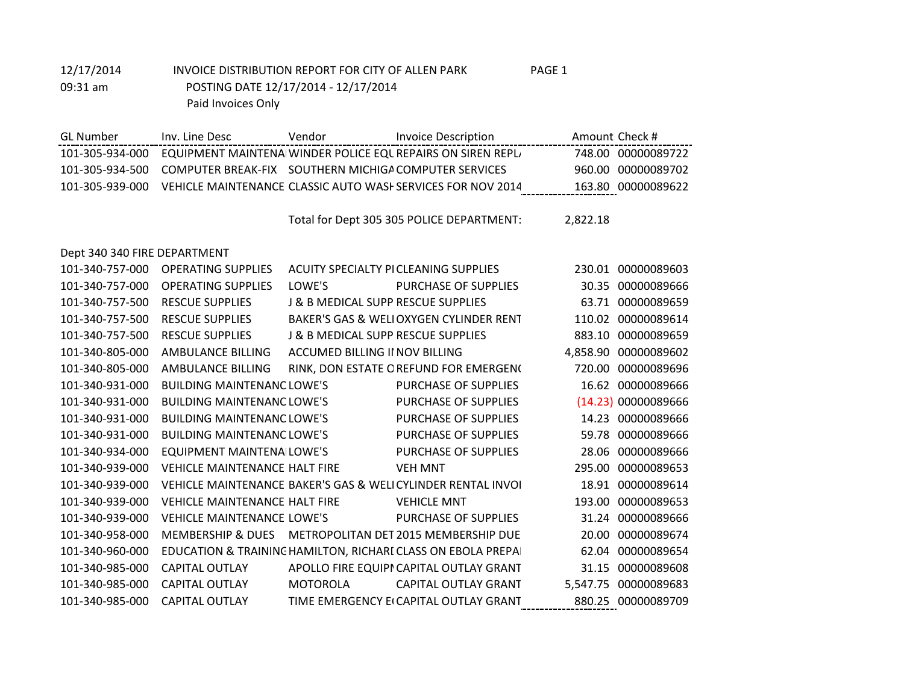| GL Number       | Inv. Line Desc                                       | Vendor | Invoice Description                                                | Amount Check # |                    |
|-----------------|------------------------------------------------------|--------|--------------------------------------------------------------------|----------------|--------------------|
| 101-305-934-000 |                                                      |        | <b>EQUIPMENT MAINTENA WINDER POLICE EQL REPAIRS ON SIREN REPL.</b> |                | 748.00 00000089722 |
| 101-305-934-500 | COMPUTER BREAK-FIX SOUTHERN MICHIGACOMPUTER SERVICES |        |                                                                    |                | 960.00 00000089702 |
| 101-305-939-000 |                                                      |        | VEHICLE MAINTENANCE CLASSIC AUTO WASE SERVICES FOR NOV 2014        |                | 163.80 00000089622 |
|                 |                                                      |        |                                                                    |                |                    |

Total for Dept 305 305 POLICE DEPARTMENT: 2,822.18

Dept 340 340 FIRE DEPARTMENT

| 101-340-757-000 | <b>OPERATING SUPPLIES</b>            | ACUITY SPECIALTY PICLEANING SUPPLIES          |                                                              |          | 230.01 00000089603   |
|-----------------|--------------------------------------|-----------------------------------------------|--------------------------------------------------------------|----------|----------------------|
| 101-340-757-000 | <b>OPERATING SUPPLIES</b>            | LOWE'S                                        | PURCHASE OF SUPPLIES                                         | 30.35    | 00000089666          |
| 101-340-757-500 | <b>RESCUE SUPPLIES</b>               | <b>J &amp; B MEDICAL SUPP RESCUE SUPPLIES</b> |                                                              | 63.71    | 00000089659          |
| 101-340-757-500 | <b>RESCUE SUPPLIES</b>               |                                               | BAKER'S GAS & WELIOXYGEN CYLINDER RENT                       | 110.02   | 00000089614          |
| 101-340-757-500 | <b>RESCUE SUPPLIES</b>               | <b>J &amp; B MEDICAL SUPP RESCUE SUPPLIES</b> |                                                              | 883.10   | 00000089659          |
| 101-340-805-000 | AMBULANCE BILLING                    | ACCUMED BILLING II NOV BILLING                |                                                              |          | 4,858.90 00000089602 |
| 101-340-805-000 | AMBULANCE BILLING                    |                                               | RINK, DON ESTATE OREFUND FOR EMERGEN(                        | 720.00   | 00000089696          |
| 101-340-931-000 | <b>BUILDING MAINTENANC LOWE'S</b>    |                                               | PURCHASE OF SUPPLIES                                         | 16.62    | 00000089666          |
| 101-340-931-000 | <b>BUILDING MAINTENANC LOWE'S</b>    |                                               | PURCHASE OF SUPPLIES                                         |          | (14.23) 00000089666  |
| 101-340-931-000 | <b>BUILDING MAINTENANC LOWE'S</b>    |                                               | PURCHASE OF SUPPLIES                                         | 14.23    | 00000089666          |
| 101-340-931-000 | <b>BUILDING MAINTENANC LOWE'S</b>    |                                               | PURCHASE OF SUPPLIES                                         | 59.78    | 00000089666          |
| 101-340-934-000 | <b>EQUIPMENT MAINTENA LOWE'S</b>     |                                               | PURCHASE OF SUPPLIES                                         | 28.06    | 00000089666          |
| 101-340-939-000 | <b>VEHICLE MAINTENANCE HALT FIRE</b> |                                               | <b>VEH MNT</b>                                               | 295.00   | 00000089653          |
| 101-340-939-000 |                                      |                                               | VEHICLE MAINTENANCE BAKER'S GAS & WELICYLINDER RENTAL INVOL  | 18.91    | 00000089614          |
| 101-340-939-000 | <b>VEHICLE MAINTENANCE HALT FIRE</b> |                                               | <b>VEHICLE MNT</b>                                           | 193.00   | 00000089653          |
| 101-340-939-000 | <b>VEHICLE MAINTENANCE LOWE'S</b>    |                                               | PURCHASE OF SUPPLIES                                         |          | 31.24 00000089666    |
| 101-340-958-000 | MEMBERSHIP & DUES                    |                                               | METROPOLITAN DET 2015 MEMBERSHIP DUE                         | 20.00    | 00000089674          |
| 101-340-960-000 |                                      |                                               | EDUCATION & TRAINING HAMILTON, RICHARI CLASS ON EBOLA PREPAI | 62.04    | 00000089654          |
| 101-340-985-000 | <b>CAPITAL OUTLAY</b>                |                                               | APOLLO FIRE EQUIPI CAPITAL OUTLAY GRANT                      | 31.15    | 00000089608          |
| 101-340-985-000 | <b>CAPITAL OUTLAY</b>                | <b>MOTOROLA</b>                               | <b>CAPITAL OUTLAY GRANT</b>                                  | 5,547.75 | 00000089683          |
| 101-340-985-000 | <b>CAPITAL OUTLAY</b>                |                                               | TIME EMERGENCY EI CAPITAL OUTLAY GRANT                       |          | 880.25 00000089709   |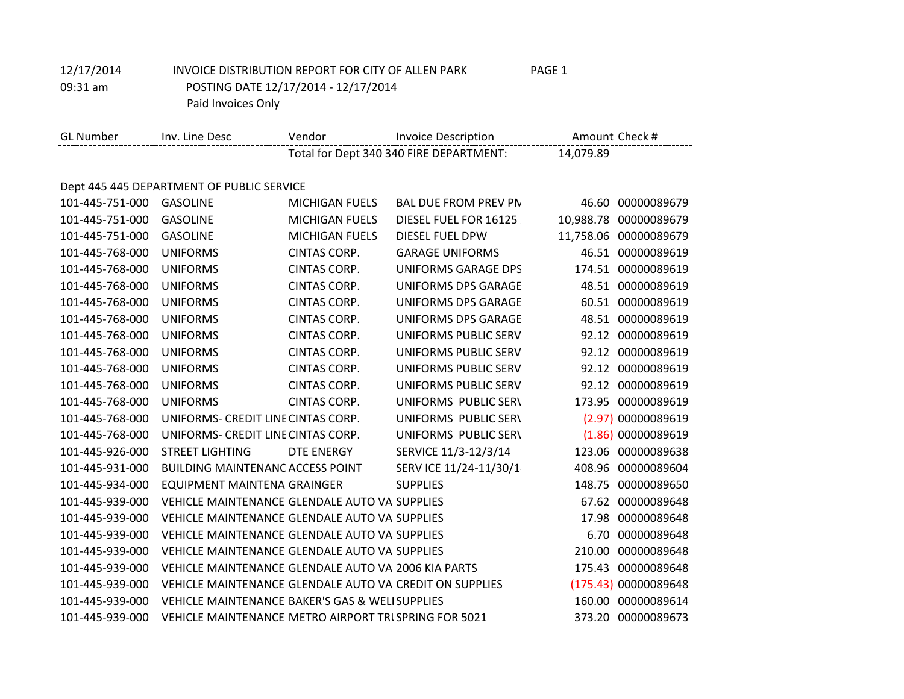12/17/2014 INVOICE DISTRIBUTION REPORT FOR CITY OF ALLEN PARK PAGE 1

09:31 am POSTING DATE 12/17/2014 - 12/17/2014 Paid Invoices Only

| <b>GL Number</b> | Inv. Line Desc                                          | Vendor                | <b>Invoice Description</b>              | Amount Check # |                      |
|------------------|---------------------------------------------------------|-----------------------|-----------------------------------------|----------------|----------------------|
|                  |                                                         |                       | Total for Dept 340 340 FIRE DEPARTMENT: | 14,079.89      |                      |
|                  |                                                         |                       |                                         |                |                      |
|                  | Dept 445 445 DEPARTMENT OF PUBLIC SERVICE               |                       |                                         |                |                      |
| 101-445-751-000  | <b>GASOLINE</b>                                         | <b>MICHIGAN FUELS</b> | <b>BAL DUE FROM PREV PN</b>             | 46.60          | 00000089679          |
| 101-445-751-000  | <b>GASOLINE</b>                                         | <b>MICHIGAN FUELS</b> | DIESEL FUEL FOR 16125                   | 10,988.78      | 00000089679          |
| 101-445-751-000  | <b>GASOLINE</b>                                         | <b>MICHIGAN FUELS</b> | <b>DIESEL FUEL DPW</b>                  | 11,758.06      | 00000089679          |
| 101-445-768-000  | <b>UNIFORMS</b>                                         | CINTAS CORP.          | <b>GARAGE UNIFORMS</b>                  |                | 46.51 00000089619    |
| 101-445-768-000  | <b>UNIFORMS</b>                                         | CINTAS CORP.          | <b>UNIFORMS GARAGE DPS</b>              | 174.51         | 00000089619          |
| 101-445-768-000  | <b>UNIFORMS</b>                                         | CINTAS CORP.          | <b>UNIFORMS DPS GARAGE</b>              | 48.51          | 00000089619          |
| 101-445-768-000  | <b>UNIFORMS</b>                                         | CINTAS CORP.          | <b>UNIFORMS DPS GARAGE</b>              | 60.51          | 00000089619          |
| 101-445-768-000  | <b>UNIFORMS</b>                                         | CINTAS CORP.          | <b>UNIFORMS DPS GARAGE</b>              |                | 48.51 00000089619    |
| 101-445-768-000  | <b>UNIFORMS</b>                                         | CINTAS CORP.          | UNIFORMS PUBLIC SERV                    | 92.12          | 00000089619          |
| 101-445-768-000  | <b>UNIFORMS</b>                                         | CINTAS CORP.          | UNIFORMS PUBLIC SERV                    | 92.12          | 00000089619          |
| 101-445-768-000  | <b>UNIFORMS</b>                                         | CINTAS CORP.          | UNIFORMS PUBLIC SERV                    | 92.12          | 00000089619          |
| 101-445-768-000  | <b>UNIFORMS</b>                                         | CINTAS CORP.          | UNIFORMS PUBLIC SERV                    |                | 92.12 00000089619    |
| 101-445-768-000  | <b>UNIFORMS</b>                                         | CINTAS CORP.          | UNIFORMS PUBLIC SERV                    | 173.95         | 00000089619          |
| 101-445-768-000  | UNIFORMS- CREDIT LINE CINTAS CORP.                      |                       | UNIFORMS PUBLIC SERV                    |                | (2.97) 00000089619   |
| 101-445-768-000  | UNIFORMS- CREDIT LINE CINTAS CORP.                      |                       | UNIFORMS PUBLIC SERV                    |                | (1.86) 00000089619   |
| 101-445-926-000  | <b>STREET LIGHTING</b>                                  | DTE ENERGY            | SERVICE 11/3-12/3/14                    | 123.06         | 00000089638          |
| 101-445-931-000  | <b>BUILDING MAINTENANC ACCESS POINT</b>                 |                       | SERV ICE 11/24-11/30/1                  | 408.96         | 00000089604          |
| 101-445-934-000  | <b>EQUIPMENT MAINTENA GRAINGER</b>                      |                       | <b>SUPPLIES</b>                         | 148.75         | 00000089650          |
| 101-445-939-000  | VEHICLE MAINTENANCE GLENDALE AUTO VAISUPPLIES           |                       |                                         | 67.62          | 00000089648          |
| 101-445-939-000  | VEHICLE MAINTENANCE GLENDALE AUTO VAISUPPLIES           |                       |                                         |                | 17.98 00000089648    |
| 101-445-939-000  | VEHICLE MAINTENANCE GLENDALE AUTO VAISUPPLIES           |                       |                                         | 6.70           | 00000089648          |
| 101-445-939-000  | VEHICLE MAINTENANCE GLENDALE AUTO VAISUPPLIES           |                       |                                         | 210.00         | 00000089648          |
| 101-445-939-000  | VEHICLE MAINTENANCE GLENDALE AUTO VA 2006 KIA PARTS     |                       |                                         | 175.43         | 00000089648          |
| 101-445-939-000  | VEHICLE MAINTENANCE GLENDALE AUTO VAICREDIT ON SUPPLIES |                       |                                         |                | (175.43) 00000089648 |
| 101-445-939-000  | VEHICLE MAINTENANCE BAKER'S GAS & WELISUPPLIES          |                       |                                         | 160.00         | 00000089614          |
| 101-445-939-000  | VEHICLE MAINTENANCE METRO AIRPORT TRUSPRING FOR 5021    |                       |                                         | 373.20         | 00000089673          |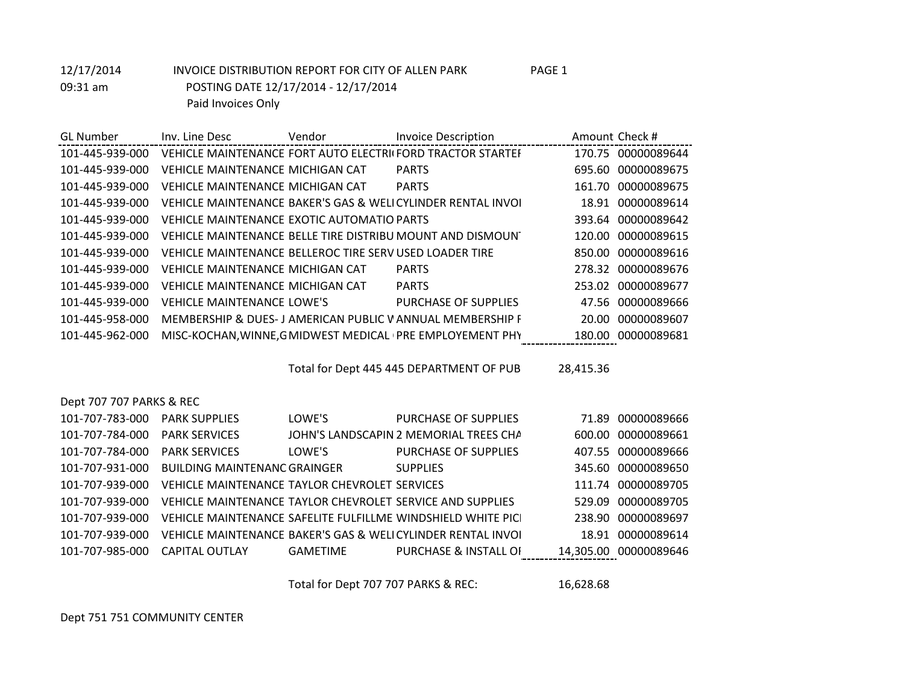| <b>GL</b> Number | Inv. Line Desc                                          | Vendor | <b>Invoice Description</b>                                  | Amount Check #        |
|------------------|---------------------------------------------------------|--------|-------------------------------------------------------------|-----------------------|
| 101-445-939-000  |                                                         |        | VEHICLE MAINTENANCE FORT AUTO ELECTRICFORD TRACTOR STARTEL  | 170.75 00000089644    |
| 101-445-939-000  | VEHICLE MAINTENANCE MICHIGAN CAT                        |        | <b>PARTS</b>                                                | 695.60 00000089675    |
| 101-445-939-000  | VEHICLE MAINTENANCE MICHIGAN CAT                        |        | <b>PARTS</b>                                                | 00000089675<br>161.70 |
| 101-445-939-000  |                                                         |        | VEHICLE MAINTENANCE BAKER'S GAS & WELICYLINDER RENTAL INVOL | 00000089614<br>18.91  |
| 101-445-939-000  | VEHICLE MAINTENANCE EXOTIC AUTOMATIO PARTS              |        |                                                             | 393.64 00000089642    |
| 101-445-939-000  |                                                         |        | VEHICLE MAINTENANCE BELLE TIRE DISTRIBU MOUNT AND DISMOUN'  | 120.00 00000089615    |
| 101-445-939-000  | VEHICLE MAINTENANCE BELLEROC TIRE SERV USED LOADER TIRE |        |                                                             | 850.00<br>00000089616 |
| 101-445-939-000  | <b>VEHICLE MAINTENANCE MICHIGAN CAT</b>                 |        | <b>PARTS</b>                                                | 00000089676<br>278.32 |
| 101-445-939-000  | <b>VEHICLE MAINTENANCE MICHIGAN CAT</b>                 |        | <b>PARTS</b>                                                | 00000089677<br>253.02 |
| 101-445-939-000  | <b>VEHICLE MAINTENANCE LOWE'S</b>                       |        | PURCHASE OF SUPPLIES                                        | 00000089666<br>47.56  |
| 101-445-958-000  |                                                         |        | MEMBERSHIP & DUES- J AMERICAN PUBLIC VANNUAL MEMBERSHIP F   | 20.00<br>00000089607  |
| 101-445-962-000  |                                                         |        | MISC-KOCHAN, WINNE, G MIDWEST MEDICAL (PRE EMPLOYEMENT PHY  | 180.00 00000089681    |
|                  |                                                         |        |                                                             |                       |

Total for Dept 445 445 DEPARTMENT OF PUB 28,415.36

Dept 707 707 PARKS & REC

| 101-707-783-000 | <b>PARK SUPPLIES</b>                                      | LOWE'S   | PURCHASE OF SUPPLIES                                        |        | 71.89 00000089666     |
|-----------------|-----------------------------------------------------------|----------|-------------------------------------------------------------|--------|-----------------------|
| 101-707-784-000 | <b>PARK SERVICES</b>                                      |          | JOHN'S LANDSCAPIN 2 MEMORIAL TREES CHA                      | 600.00 | 00000089661           |
| 101-707-784-000 | <b>PARK SERVICES</b>                                      | LOWE'S   | PURCHASE OF SUPPLIES                                        |        | 407.55 00000089666    |
| 101-707-931-000 | <b>BUILDING MAINTENANC GRAINGER</b>                       |          | <b>SUPPLIES</b>                                             |        | 345.60 00000089650    |
| 101-707-939-000 | VEHICLE MAINTENANCE TAYLOR CHEVROLET SERVICES             |          |                                                             |        | 111.74 00000089705    |
| 101-707-939-000 | VEHICLE MAINTENANCE TAYLOR CHEVROLET SERVICE AND SUPPLIES |          |                                                             |        | 529.09 00000089705    |
| 101-707-939-000 |                                                           |          | VEHICLE MAINTENANCE SAFELITE FULFILLME WINDSHIELD WHITE PIC | 238.90 | 00000089697           |
| 101-707-939-000 |                                                           |          | VEHICLE MAINTENANCE BAKER'S GAS & WELICYLINDER RENTAL INVOI |        | 18.91 00000089614     |
| 101-707-985-000 | CAPITAL OUTLAY                                            | GAMETIME | PURCHASE & INSTALL OF                                       |        | 14,305.00 00000089646 |
|                 |                                                           |          |                                                             |        |                       |

Total for Dept 707 707 PARKS & REC: 16,628.68

Dept 751 751 COMMUNITY CENTER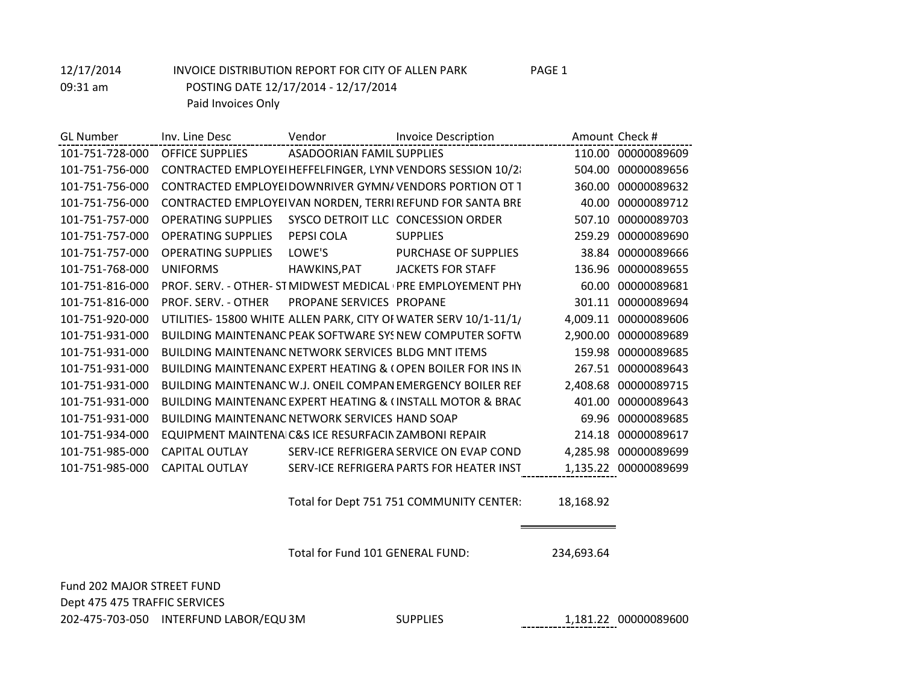GL Number Inv. Line Desc Vendor Invoice Description Amount Check # 101-751-728-000 OFFICE SUPPLIES ASADOORIAN FAMILY PRINT SUPPLIES 110.00 00000089609 101-751-756-000 CONTRACTED EMPLOYEI HEFFELFINGER, LYNN VENDORS SESSION 10/28 504.00 00000089656 101-751-756-000 CONTRACTED EMPLOYEI DOWNRIVER GYMNA VENDORS PORTION OT 1 360.00 00000089632 101-751-756-000 CONTRACTED EMPLOYEIVAN NORDEN, TERRI REFUND FOR SANTA BRE 40.00 00000089712 101-751-757-000 OPERATING SUPPLIES SYSCO DETROIT LLC CONCESSION ORDER 507.10 00000089703 101-751-757-000 OPERATING SUPPLIES PEPSI COLA SUPPLIES 259.29 00000089690 101-751-757-000 OPERATING SUPPLIES LOWE'S PURCHASE OF SUPPLIES 11/2-11-26-14 38.84 00000089666 101-751-768-000 UNIFORMS HAWKINS,PAT JACKETS FOR STAFF 136.96 00000089655 101-751-816-000 PROF. SERV. - OTHER- ST MIDWEST MEDICAL (PRE EMPLOYEMENT PHY 60.00 00000089681 101-751-816-000 PROF. SERV. - OTHER PROPANE SERVICES PROPANE 301.11 00000089694 101-751-920-000 UTILITIES- 15800 WHITE ALLEN PARK, CITY OF.WATER SERV 10/1-11/1/14 4,009.11 00000089606 101-751-931-000 BUILDING MAINTENANC PEAK SOFTWARE SYSNEW COMPUTER SOFTWARE 2,900.00 00000089689 101-751-931-000 BUILDING MAINTENANC NETWORK SERVICES BLDG MNT ITEMS 159.98 00000089685 101-751-931-000 BUILDING MAINTENANC EXPERT HEATING & COPEN BOILER FOR INS INSTERNATION 267.51 00000089643 101-751-931-000 BUILDING MAINTENANC W.J. ONEIL COMPAN EMERGENCY BOILER REFATH 2,408.68 00000089715 101-751-931-000 BUILDING MAINTENANC EXPERT HEATING & CINSTALL MOTOR & BRAC 401.00 00000089643 101-751-931-000 BUILDING MAINTENANC NETWORK SERVICES HAND SOAP 69.96 00000089685 101-751-934-000 EQUIPMENT MAINTENA C&S ICE RESURFACINZAMBONI REPAIR 214.18 00000089617 101-751-985-000 CAPITAL OUTLAY SERV-ICE REFRIGERA SERVICE ON EVAP COND 4,285.98 00000089699 101-751-985-000 CAPITAL OUTLAY SERV-ICE REFRIGERA PARTS FOR HEATER INST 1,135.22 00000089699

Total for Dept 751 751 COMMUNITY CENTER: 18,168.92

Total for Fund 101 GENERAL FUND: 234,693.64

Fund 202 MAJOR STREET FUND Dept 475 475 TRAFFIC SERVICES 202-475-703-050 INTERFUND LABOR/EQU 3M SUPPLIES 5 202-475-703-050 1,181.22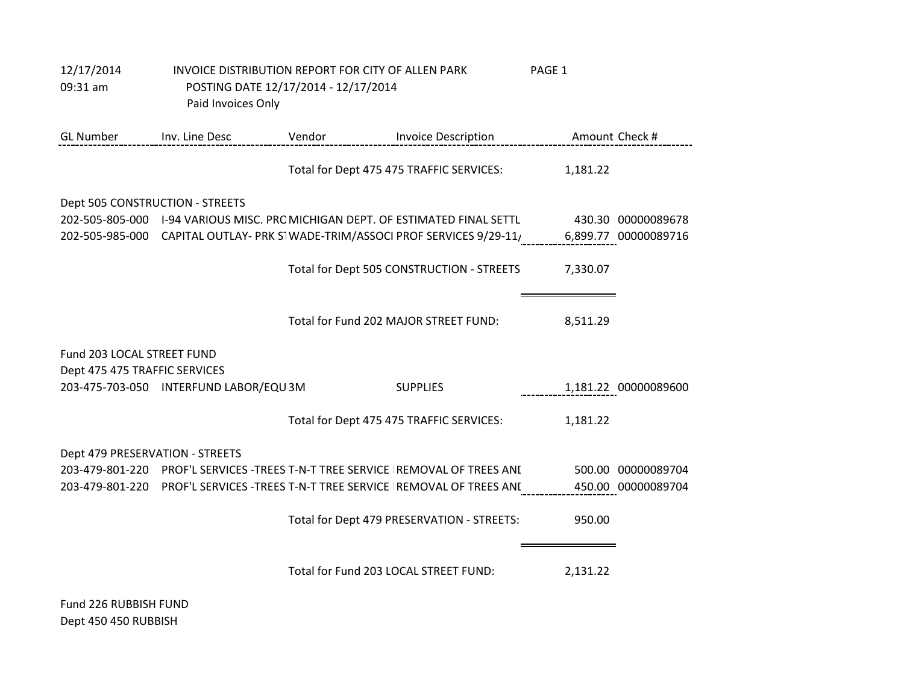| 12/17/2014<br>09:31 am                                      | INVOICE DISTRIBUTION REPORT FOR CITY OF ALLEN PARK<br>Paid Invoices Only | POSTING DATE 12/17/2014 - 12/17/2014 |                                                                                                                                                                     | PAGE 1         |                                          |
|-------------------------------------------------------------|--------------------------------------------------------------------------|--------------------------------------|---------------------------------------------------------------------------------------------------------------------------------------------------------------------|----------------|------------------------------------------|
| <b>GL Number</b>                                            | Inv. Line Desc                                                           | Vendor                               | <b>Invoice Description</b>                                                                                                                                          | Amount Check # |                                          |
|                                                             |                                                                          |                                      | Total for Dept 475 475 TRAFFIC SERVICES:                                                                                                                            | 1,181.22       |                                          |
| Dept 505 CONSTRUCTION - STREETS                             |                                                                          |                                      | 202-505-805-000 I-94 VARIOUS MISC. PRC MICHIGAN DEPT. OF ESTIMATED FINAL SETTL                                                                                      |                | 430.30 00000089678                       |
|                                                             |                                                                          |                                      | 202-505-985-000 CAPITAL OUTLAY- PRK S' WADE-TRIM/ASSOCI PROF SERVICES 9/29-11, 6,899.77 00000089716                                                                 |                |                                          |
|                                                             |                                                                          |                                      | Total for Dept 505 CONSTRUCTION - STREETS                                                                                                                           | 7,330.07       |                                          |
|                                                             |                                                                          |                                      | Total for Fund 202 MAJOR STREET FUND:                                                                                                                               | 8,511.29       |                                          |
| Fund 203 LOCAL STREET FUND<br>Dept 475 475 TRAFFIC SERVICES |                                                                          |                                      |                                                                                                                                                                     |                |                                          |
|                                                             | 203-475-703-050 INTERFUND LABOR/EQU3M                                    |                                      | <b>SUPPLIES</b>                                                                                                                                                     |                | 1,181.22 00000089600                     |
|                                                             |                                                                          |                                      | Total for Dept 475 475 TRAFFIC SERVICES:                                                                                                                            | 1,181.22       |                                          |
| Dept 479 PRESERVATION - STREETS                             |                                                                          |                                      | 203-479-801-220 PROF'L SERVICES -TREES T-N-T TREE SERVICE   REMOVAL OF TREES ANI<br>203-479-801-220 PROF'L SERVICES -TREES T-N-T TREE SERVICE IREMOVAL OF TREES ANI |                | 500.00 00000089704<br>450.00 00000089704 |
|                                                             |                                                                          |                                      | Total for Dept 479 PRESERVATION - STREETS:                                                                                                                          | 950.00         |                                          |
|                                                             |                                                                          |                                      | Total for Fund 203 LOCAL STREET FUND:                                                                                                                               | 2,131.22       |                                          |

Fund 226 RUBBISH FUND Dept 450 450 RUBBISH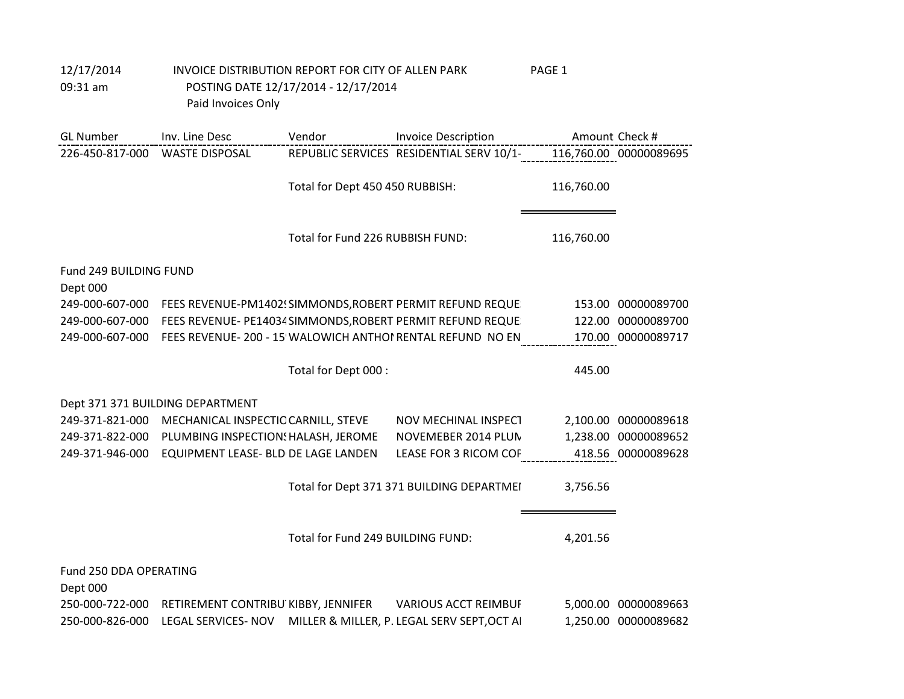| <b>GL Number</b>       | Inv. Line Desc                                      | Vendor                            | <b>Invoice Description</b>                                 |            | Amount Check #         |
|------------------------|-----------------------------------------------------|-----------------------------------|------------------------------------------------------------|------------|------------------------|
|                        | 226-450-817-000 WASTE DISPOSAL                      |                                   | REPUBLIC SERVICES RESIDENTIAL SERV 10/1-                   |            | 116,760.00 00000089695 |
|                        |                                                     | Total for Dept 450 450 RUBBISH:   |                                                            | 116,760.00 |                        |
|                        |                                                     | Total for Fund 226 RUBBISH FUND:  |                                                            | 116,760.00 |                        |
| Fund 249 BUILDING FUND |                                                     |                                   |                                                            |            |                        |
| Dept 000               |                                                     |                                   |                                                            |            |                        |
| 249-000-607-000        |                                                     |                                   | FEES REVENUE-PM1402! SIMMONDS, ROBERT PERMIT REFUND REQUE  |            | 153.00 00000089700     |
| 249-000-607-000        |                                                     |                                   | FEES REVENUE- PE14034 SIMMONDS, ROBERT PERMIT REFUND REQUE |            | 122.00 00000089700     |
| 249-000-607-000        |                                                     |                                   | FEES REVENUE- 200 - 15 WALOWICH ANTHOI RENTAL REFUND NO EN |            | 170.00 00000089717     |
|                        |                                                     | Total for Dept 000 :              |                                                            | 445.00     |                        |
|                        | Dept 371 371 BUILDING DEPARTMENT                    |                                   |                                                            |            |                        |
|                        | 249-371-821-000 MECHANICAL INSPECTIC CARNILL, STEVE |                                   | <b>NOV MECHINAL INSPECT</b>                                |            | 2,100.00 00000089618   |
| 249-371-822-000        | PLUMBING INSPECTION: HALASH, JEROME                 |                                   | NOVEMEBER 2014 PLUN                                        | 1,238.00   | 00000089652            |
| 249-371-946-000        | EQUIPMENT LEASE- BLD DE LAGE LANDEN                 |                                   | LEASE FOR 3 RICOM COF                                      |            | 418.56 00000089628     |
|                        |                                                     |                                   | Total for Dept 371 371 BUILDING DEPARTMEI                  | 3,756.56   |                        |
|                        |                                                     | Total for Fund 249 BUILDING FUND: |                                                            | 4,201.56   |                        |
| Fund 250 DDA OPERATING |                                                     |                                   |                                                            |            |                        |
| Dept 000               |                                                     |                                   |                                                            |            |                        |
| 250-000-722-000        |                                                     |                                   | RETIREMENT CONTRIBU KIBBY, JENNIFER VARIOUS ACCT REIMBUI   |            | 5,000.00 00000089663   |
| 250-000-826-000        | LEGAL SERVICES- NOV                                 |                                   | MILLER & MILLER, P. LEGAL SERV SEPT, OCT AI                |            | 1,250.00 00000089682   |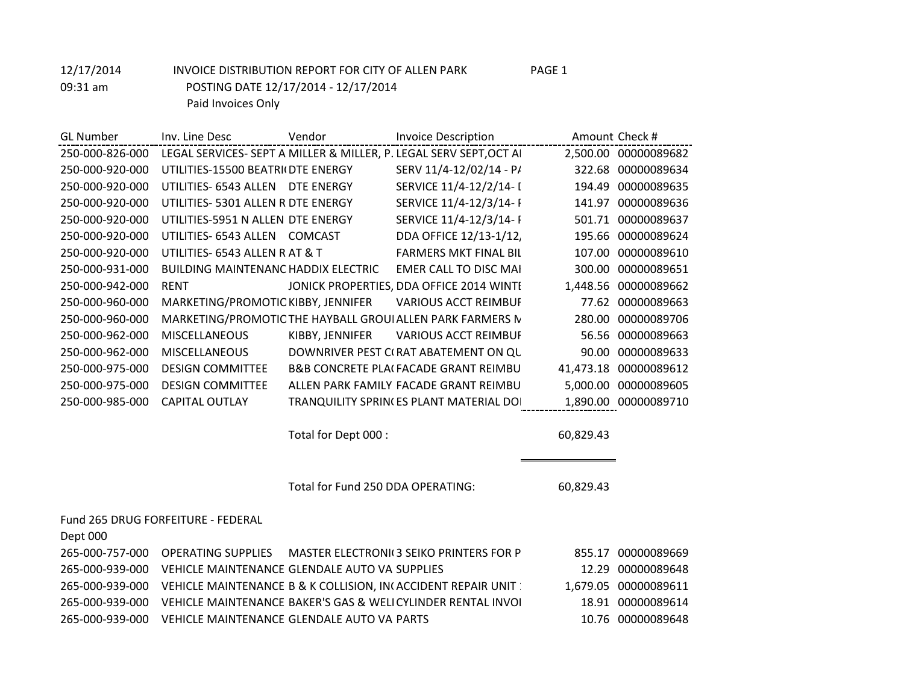| <b>GL Number</b> | Inv. Line Desc                                | Vendor                            | <b>Invoice Description</b>                                         |           | Amount Check #       |
|------------------|-----------------------------------------------|-----------------------------------|--------------------------------------------------------------------|-----------|----------------------|
| 250-000-826-000  |                                               |                                   | LEGAL SERVICES- SEPT A MILLER & MILLER, P. LEGAL SERV SEPT, OCT AI |           | 2,500.00 00000089682 |
| 250-000-920-000  | UTILITIES-15500 BEATRI(DTE ENERGY             |                                   | SERV 11/4-12/02/14 - P/                                            |           | 322.68 00000089634   |
| 250-000-920-000  | UTILITIES- 6543 ALLEN DTE ENERGY              |                                   | SERVICE 11/4-12/2/14-1                                             |           | 194.49 00000089635   |
| 250-000-920-000  | UTILITIES- 5301 ALLEN R DTE ENERGY            |                                   | SERVICE 11/4-12/3/14-1                                             | 141.97    | 00000089636          |
| 250-000-920-000  | UTILITIES-5951 N ALLEN DTE ENERGY             |                                   | SERVICE 11/4-12/3/14-1                                             |           | 501.71 00000089637   |
| 250-000-920-000  | UTILITIES- 6543 ALLEN COMCAST                 |                                   | DDA OFFICE 12/13-1/12,                                             | 195.66    | 00000089624          |
| 250-000-920-000  | UTILITIES- 6543 ALLEN R AT & T                |                                   | <b>FARMERS MKT FINAL BIL</b>                                       |           | 107.00 00000089610   |
| 250-000-931-000  | <b>BUILDING MAINTENANC HADDIX ELECTRIC</b>    |                                   | <b>EMER CALL TO DISC MAI</b>                                       | 300.00    | 00000089651          |
| 250-000-942-000  | <b>RENT</b>                                   |                                   | JONICK PROPERTIES, DDA OFFICE 2014 WINTI                           |           | 1,448.56 00000089662 |
| 250-000-960-000  | MARKETING/PROMOTIC KIBBY, JENNIFER            |                                   | <b>VARIOUS ACCT REIMBUF</b>                                        |           | 77.62 00000089663    |
| 250-000-960-000  |                                               |                                   | MARKETING/PROMOTIC THE HAYBALL GROUI ALLEN PARK FARMERS N          | 280.00    | 00000089706          |
| 250-000-962-000  | <b>MISCELLANEOUS</b>                          | KIBBY, JENNIFER                   | <b>VARIOUS ACCT REIMBUI</b>                                        | 56.56     | 00000089663          |
| 250-000-962-000  | <b>MISCELLANEOUS</b>                          |                                   | DOWNRIVER PEST C(RAT ABATEMENT ON QU                               | 90.00     | 00000089633          |
| 250-000-975-000  | <b>DESIGN COMMITTEE</b>                       |                                   | <b>B&amp;B CONCRETE PLACFACADE GRANT REIMBU</b>                    | 41,473.18 | 00000089612          |
| 250-000-975-000  | <b>DESIGN COMMITTEE</b>                       |                                   | ALLEN PARK FAMILY FACADE GRANT REIMBU                              |           | 5,000.00 00000089605 |
| 250-000-985-000  | <b>CAPITAL OUTLAY</b>                         |                                   | TRANQUILITY SPRIN(ES PLANT MATERIAL DOI                            |           | 1,890.00 00000089710 |
|                  |                                               |                                   |                                                                    |           |                      |
|                  |                                               | Total for Dept 000:               |                                                                    | 60,829.43 |                      |
|                  |                                               |                                   |                                                                    |           |                      |
|                  |                                               |                                   |                                                                    |           |                      |
|                  |                                               | Total for Fund 250 DDA OPERATING: |                                                                    | 60,829.43 |                      |
|                  |                                               |                                   |                                                                    |           |                      |
|                  | Fund 265 DRUG FORFEITURE - FEDERAL            |                                   |                                                                    |           |                      |
| Dept 000         |                                               |                                   |                                                                    |           |                      |
| 265-000-757-000  | <b>OPERATING SUPPLIES</b>                     |                                   | <b>MASTER ELECTRONICS SEIKO PRINTERS FOR P</b>                     | 855.17    | 00000089669          |
| 265-000-939-000  | VEHICLE MAINTENANCE GLENDALE AUTO VAISUPPLIES |                                   |                                                                    | 12.29     | 00000089648          |
| 265-000-939-000  |                                               |                                   | VEHICLE MAINTENANCE B & K COLLISION, INCACCIDENT REPAIR UNIT       | 1,679.05  | 00000089611          |
| 265-000-939-000  |                                               |                                   | VEHICLE MAINTENANCE BAKER'S GAS & WELICYLINDER RENTAL INVOI        |           | 18.91 00000089614    |
| 265-000-939-000  | VEHICLE MAINTENANCE GLENDALE AUTO VAI PARTS   |                                   |                                                                    | 10.76     | 00000089648          |
|                  |                                               |                                   |                                                                    |           |                      |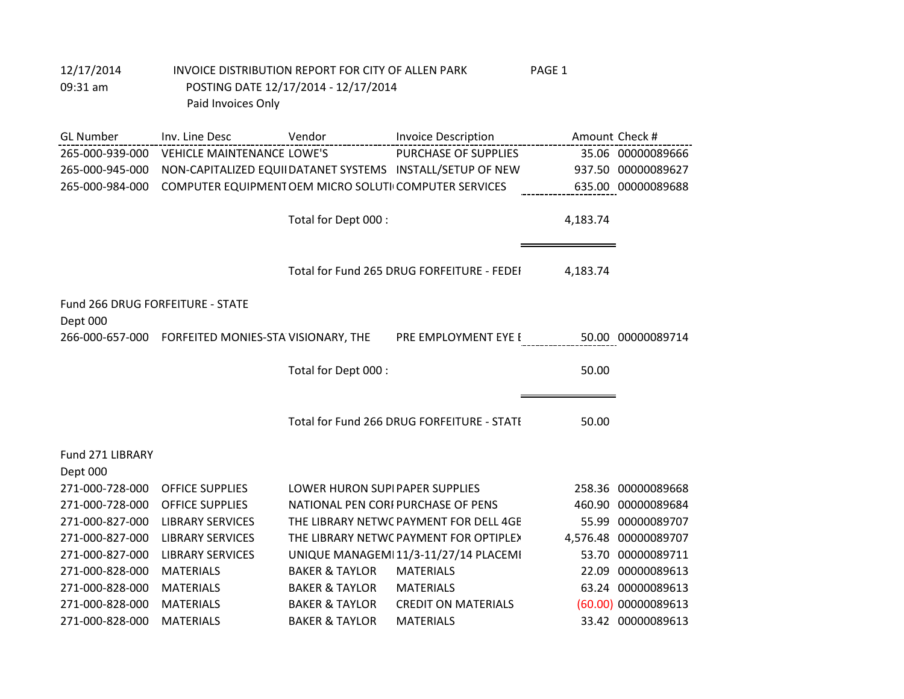GL Number Inv. Line Desc Vendor Invoice Description Amount Check # 265-000-939-000 VEHICLE MAINTENANCE LOWE'S PURCHASE OF SUPPLIES 11/2-11-26-14 35.06 00000089666 265-000-945-000 NON-CAPITALIZED EQUII DATANET SYSTEMS INSTALL/SETUP OF NEW 937.50 00000089627 265-000-984-000 COMPUTER EQUIPMENT OEM MICRO SOLUTI COMPUTER SERVICES 635.00 00000089688 Total for Dept 000 : 4,183.74 Total for Fund 265 DRUG FORFEITURE - FEDEI 4,183.74 Fund 266 DRUG FORFEITURE - STATE Dept 000 266-000-657-000 FORFEITED MONIES-STA VISIONARY, THE PRE EMPLOYMENT EYE IS AND 200000089714 Total for Dept 000 : 50.00 Total for Fund 266 DRUG FORFEITURE - STATE: 50.00 Fund 271 LIBRARY Dept 000 271-000-728-000 OFFICE SUPPLIES LOWER HURON SUPIPAPER SUPPLIES 258.36 00000089668 271-000-728-000 OFFICE SUPPLIES NATIONAL PEN CORP.PURCHASE OF PENS 460.90 00000089684 271-000-827-000 LIBRARY SERVICES THE LIBRARY NETWORKPAYMENT FOR DELL 4GB RAM 55.99 00000089707 271-000-827-000 LIBRARY SERVICES THE LIBRARY NETWORKPAYMENT FOR OPTIPLEX 7 4,576.48 00000089707 271-000-827-000 LIBRARY SERVICES UNIQUE MANAGEMI11/3-11/27/14 PLACEMI 53.70 00000089711 271-000-828-000 MATERIALS BAKER & TAYLOR MATERIALS 22.09 00000089613 271-000-828-000 MATERIALS BAKER & TAYLOR MATERIALS 63.24 00000089613 271-000-828-000 MATERIALS BAKER & TAYLOR CREDIT ON MATERIALS (60.00) 00000089613 271-000-828-000 MATERIALS BAKER & TAYLOR MATERIALS 33.42 00000089613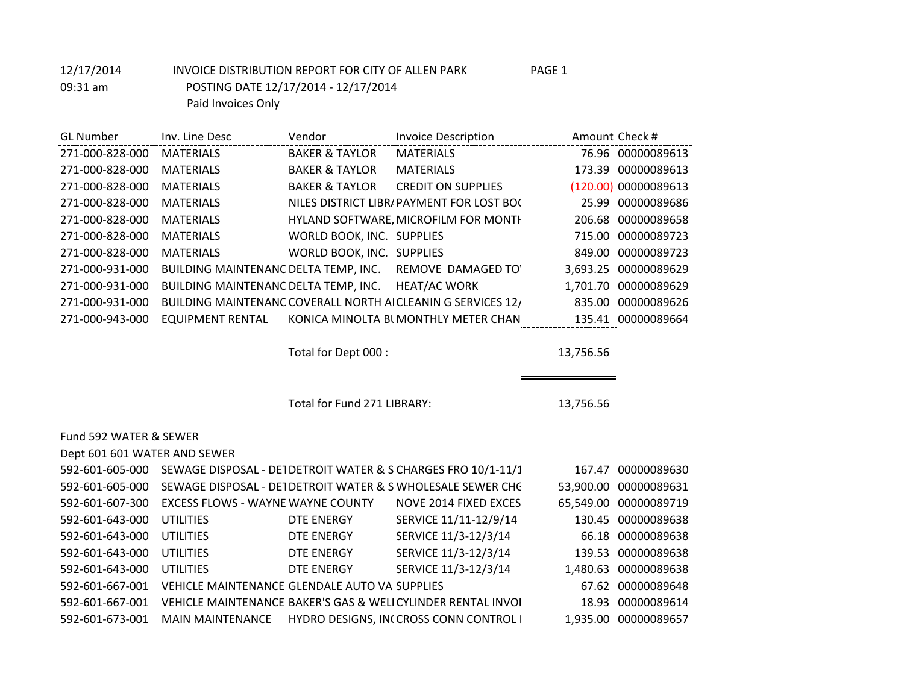GL Number Inv. Line Desc Vendor Invoice Description Amount Check # 271-000-828-000 MATERIALS BAKER & TAYLOR MATERIALS 76.96 00000089613 271-000-828-000 MATERIALS BAKER & TAYLOR MATERIALS 173.39 00000089613 271-000-828-000 MATERIALS BAKER & TAYLOR CREDIT ON SUPPLIES (120.00) 00000089613 271-000-828-000 MATERIALS NILES DISTRICT LIBR/ PAYMENT FOR LOST BO(
25.99 00000089686 271-000-828-000 MATERIALS HYLAND SOFTWARE, MICROFILM FOR MONTH 206.68 00000089658 271-000-828-000 MATERIALS WORLD BOOK, INC. SUPPLIES 715.00 00000089723 271-000-828-000 MATERIALS WORLD BOOK, INC. SUPPLIES 849.00 00000089723 271-000-931-000 BUILDING MAINTENANC DELTA TEMP, INC. REMOVE DAMAGED TO 3,693.25 00000089629 271-000-931-000 BUILDING MAINTENANC DELTA TEMP, INC. HEAT/AC WORK 1,701.70 00000089629 271-000-931-000 BUILDING MAINTENANC COVERALL NORTH AICLEANIN G SERVICES 12/1000000000000000089626 271-000-943-000 EQUIPMENT RENTAL KONICA MINOLTA BUMONTHLY METER CHAN 235.41 00000089664

Total for Dept 000 : 13,756.56

Total for Fund 271 LIBRARY: 13,756.56

Fund 592 WATER & SEWER Dept 601 601 WATER AND SEWER

| 592-601-605-000 |                                               |                   | SEWAGE DISPOSAL - DET DETROIT WATER & S CHARGES FRO 10/1-11/1 | 167.47 00000089630    |
|-----------------|-----------------------------------------------|-------------------|---------------------------------------------------------------|-----------------------|
| 592-601-605-000 |                                               |                   | SEWAGE DISPOSAL - DE1DETROIT WATER & S WHOLESALE SEWER CHO    | 53,900.00 00000089631 |
| 592-601-607-300 | <b>EXCESS FLOWS - WAYNE WAYNE COUNTY</b>      |                   | NOVE 2014 FIXED EXCES                                         | 65,549.00 00000089719 |
| 592-601-643-000 | <b>UTILITIES</b>                              | DTE ENERGY        | SERVICE 11/11-12/9/14                                         | 130.45 00000089638    |
| 592-601-643-000 | <b>UTILITIES</b>                              | <b>DTE ENERGY</b> | SERVICE 11/3-12/3/14                                          | 66.18 00000089638     |
| 592-601-643-000 | <b>UTILITIES</b>                              | <b>DTE ENERGY</b> | SERVICE 11/3-12/3/14                                          | 139.53 00000089638    |
| 592-601-643-000 | <b>UTILITIES</b>                              | <b>DTE ENERGY</b> | SERVICE 11/3-12/3/14                                          | 1,480.63 00000089638  |
| 592-601-667-001 | VEHICLE MAINTENANCE GLENDALE AUTO VA SUPPLIES |                   |                                                               | 67.62 00000089648     |
| 592-601-667-001 |                                               |                   | VEHICLE MAINTENANCE BAKER'S GAS & WELICYLINDER RENTAL INVOI   | 18.93 00000089614     |
| 592-601-673-001 | MAIN MAINTENANCE                              |                   | HYDRO DESIGNS, INCCROSS CONN CONTROL!                         | 1,935.00 00000089657  |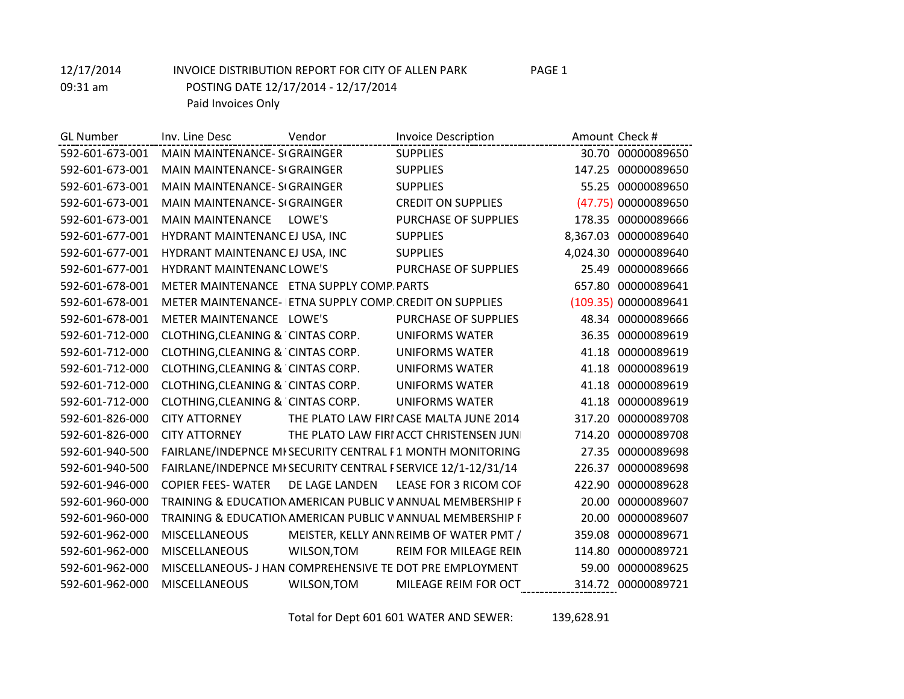12/17/2014 INVOICE DISTRIBUTION REPORT FOR CITY OF ALLEN PARK PAGE 1

09:31 am POSTING DATE 12/17/2014 - 12/17/2014 Paid Invoices Only

| <b>GL Number</b> | Inv. Line Desc                                          | Vendor         | <b>Invoice Description</b>                                   |        | Amount Check #       |
|------------------|---------------------------------------------------------|----------------|--------------------------------------------------------------|--------|----------------------|
| 592-601-673-001  | MAIN MAINTENANCE- SI GRAINGER                           |                | <b>SUPPLIES</b>                                              |        | 30.70 00000089650    |
| 592-601-673-001  | MAIN MAINTENANCE- SI GRAINGER                           |                | <b>SUPPLIES</b>                                              |        | 147.25 00000089650   |
| 592-601-673-001  | <b>MAIN MAINTENANCE- SIGRAINGER</b>                     |                | <b>SUPPLIES</b>                                              |        | 55.25 00000089650    |
| 592-601-673-001  | MAIN MAINTENANCE- SIGRAINGER                            |                | <b>CREDIT ON SUPPLIES</b>                                    |        | (47.75) 00000089650  |
| 592-601-673-001  | <b>MAIN MAINTENANCE</b>                                 | LOWE'S         | PURCHASE OF SUPPLIES                                         |        | 178.35 00000089666   |
| 592-601-677-001  | HYDRANT MAINTENANC EJ USA, INC                          |                | <b>SUPPLIES</b>                                              |        | 8,367.03 00000089640 |
| 592-601-677-001  | HYDRANT MAINTENANC EJ USA, INC                          |                | <b>SUPPLIES</b>                                              |        | 4,024.30 00000089640 |
| 592-601-677-001  | HYDRANT MAINTENANC LOWE'S                               |                | PURCHASE OF SUPPLIES                                         | 25.49  | 00000089666          |
| 592-601-678-001  | METER MAINTENANCE ETNA SUPPLY COMP. PARTS               |                |                                                              |        | 657.80 00000089641   |
| 592-601-678-001  | METER MAINTENANCE- ETNA SUPPLY COMP. CREDIT ON SUPPLIES |                |                                                              |        | (109.35) 00000089641 |
| 592-601-678-001  | METER MAINTENANCE LOWE'S                                |                | PURCHASE OF SUPPLIES                                         |        | 48.34 00000089666    |
| 592-601-712-000  | CLOTHING, CLEANING & CINTAS CORP.                       |                | <b>UNIFORMS WATER</b>                                        |        | 36.35 00000089619    |
| 592-601-712-000  | CLOTHING, CLEANING & CINTAS CORP.                       |                | <b>UNIFORMS WATER</b>                                        | 41.18  | 00000089619          |
| 592-601-712-000  | CLOTHING, CLEANING & CINTAS CORP.                       |                | <b>UNIFORMS WATER</b>                                        |        | 41.18 00000089619    |
| 592-601-712-000  | CLOTHING, CLEANING & CINTAS CORP.                       |                | <b>UNIFORMS WATER</b>                                        |        | 41.18 00000089619    |
| 592-601-712-000  | CLOTHING, CLEANING & CINTAS CORP.                       |                | <b>UNIFORMS WATER</b>                                        | 41.18  | 00000089619          |
| 592-601-826-000  | <b>CITY ATTORNEY</b>                                    |                | THE PLATO LAW FIRI CASE MALTA JUNE 2014                      |        | 317.20 00000089708   |
| 592-601-826-000  | <b>CITY ATTORNEY</b>                                    |                | THE PLATO LAW FIRI ACCT CHRISTENSEN JUN                      |        | 714.20 00000089708   |
| 592-601-940-500  |                                                         |                | FAIRLANE/INDEPNCE MI SECURITY CENTRAL F1 MONTH MONITORING    |        | 27.35 00000089698    |
| 592-601-940-500  |                                                         |                | FAIRLANE/INDEPNCE MI SECURITY CENTRAL FSERVICE 12/1-12/31/14 |        | 226.37 00000089698   |
| 592-601-946-000  | <b>COPIER FEES- WATER</b>                               | DE LAGE LANDEN | LEASE FOR 3 RICOM COF                                        | 422.90 | 00000089628          |
| 592-601-960-000  |                                                         |                | TRAINING & EDUCATION AMERICAN PUBLIC VANNUAL MEMBERSHIP F    | 20.00  | 00000089607          |
| 592-601-960-000  |                                                         |                | TRAINING & EDUCATION AMERICAN PUBLIC VANNUAL MEMBERSHIP F    |        | 20.00 00000089607    |
| 592-601-962-000  | <b>MISCELLANEOUS</b>                                    |                | MEISTER, KELLY ANN REIMB OF WATER PMT /                      | 359.08 | 00000089671          |
| 592-601-962-000  | <b>MISCELLANEOUS</b>                                    | WILSON, TOM    | REIM FOR MILEAGE REIN                                        | 114.80 | 00000089721          |
| 592-601-962-000  |                                                         |                | MISCELLANEOUS- J HAN COMPREHENSIVE TE DOT PRE EMPLOYMENT     |        | 59.00 00000089625    |
| 592-601-962-000  | <b>MISCELLANEOUS</b>                                    | WILSON, TOM    | MILEAGE REIM FOR OCT                                         |        | 314.72 00000089721   |

Total for Dept 601 601 WATER AND SEWER: 139,628.91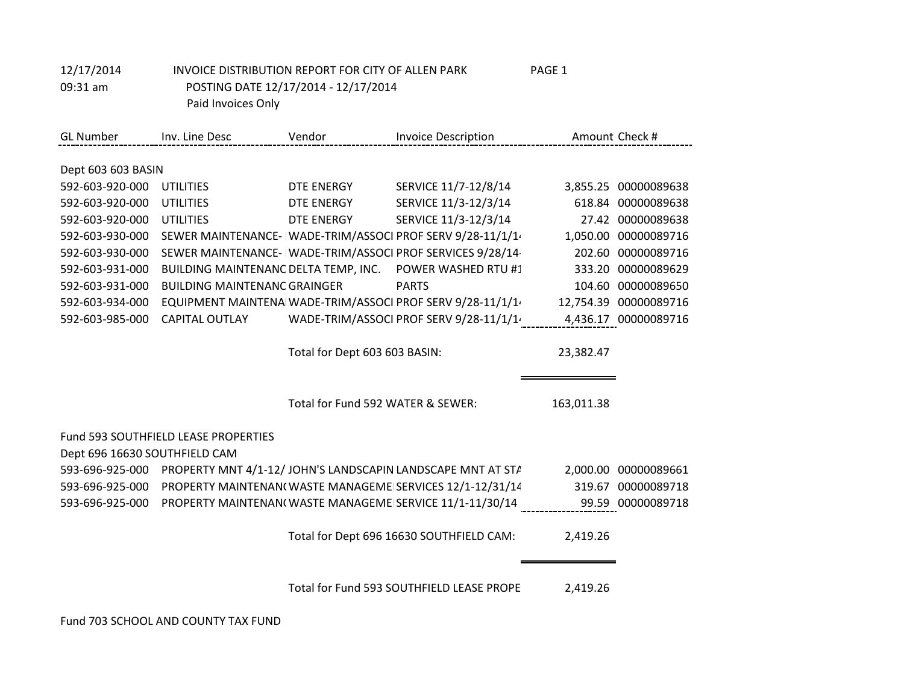| 12/17/2014<br>09:31 am        | INVOICE DISTRIBUTION REPORT FOR CITY OF ALLEN PARK<br>PAGE 1<br>POSTING DATE 12/17/2014 - 12/17/2014<br>Paid Invoices Only |                                   |                                                                             |            |                       |
|-------------------------------|----------------------------------------------------------------------------------------------------------------------------|-----------------------------------|-----------------------------------------------------------------------------|------------|-----------------------|
| <b>GL Number</b>              | Inv. Line Desc                                                                                                             | Vendor                            | <b>Invoice Description</b>                                                  |            | Amount Check #        |
| Dept 603 603 BASIN            |                                                                                                                            |                                   |                                                                             |            |                       |
| 592-603-920-000               | <b>UTILITIES</b>                                                                                                           | <b>DTE ENERGY</b>                 | SERVICE 11/7-12/8/14                                                        |            | 3,855.25 00000089638  |
| 592-603-920-000               | <b>UTILITIES</b>                                                                                                           | <b>DTE ENERGY</b>                 | SERVICE 11/3-12/3/14                                                        |            | 618.84 00000089638    |
| 592-603-920-000               | <b>UTILITIES</b>                                                                                                           | <b>DTE ENERGY</b>                 | SERVICE 11/3-12/3/14                                                        |            | 27.42 00000089638     |
|                               |                                                                                                                            |                                   | 592-603-930-000 SEWER MAINTENANCE- WADE-TRIM/ASSOCI PROF SERV 9/28-11/1/1/  |            | 1,050.00 00000089716  |
| 592-603-930-000               |                                                                                                                            |                                   | SEWER MAINTENANCE- WADE-TRIM/ASSOCI PROF SERVICES 9/28/14                   |            | 202.60 00000089716    |
| 592-603-931-000               |                                                                                                                            |                                   | BUILDING MAINTENANC DELTA TEMP, INC. POWER WASHED RTU #1                    |            | 333.20 00000089629    |
| 592-603-931-000               | <b>BUILDING MAINTENANC GRAINGER</b>                                                                                        |                                   | <b>PARTS</b>                                                                |            | 104.60 00000089650    |
| 592-603-934-000               |                                                                                                                            |                                   | EQUIPMENT MAINTENA WADE-TRIM/ASSOCI PROF SERV 9/28-11/1/1/                  |            | 12,754.39 00000089716 |
| 592-603-985-000               | <b>CAPITAL OUTLAY</b>                                                                                                      |                                   | WADE-TRIM/ASSOCI PROF SERV 9/28-11/1/1/                                     |            | 4,436.17 00000089716  |
|                               |                                                                                                                            | Total for Dept 603 603 BASIN:     |                                                                             | 23,382.47  |                       |
|                               |                                                                                                                            | Total for Fund 592 WATER & SEWER: |                                                                             | 163,011.38 |                       |
|                               | Fund 593 SOUTHFIELD LEASE PROPERTIES                                                                                       |                                   |                                                                             |            |                       |
| Dept 696 16630 SOUTHFIELD CAM |                                                                                                                            |                                   |                                                                             |            |                       |
|                               |                                                                                                                            |                                   | 593-696-925-000 PROPERTY MNT 4/1-12/ JOHN'S LANDSCAPIN LANDSCAPE MNT AT STA |            | 2,000.00 00000089661  |
|                               |                                                                                                                            |                                   | 593-696-925-000 PROPERTY MAINTENAN(WASTE MANAGEMEISERVICES 12/1-12/31/14    |            | 319.67 00000089718    |
|                               | 593-696-925-000 PROPERTY MAINTENAN(WASTE MANAGEMEISERVICE 11/1-11/30/14                                                    |                                   |                                                                             |            | 99.59 00000089718     |
|                               |                                                                                                                            |                                   | Total for Dept 696 16630 SOUTHFIELD CAM:                                    | 2,419.26   |                       |
|                               |                                                                                                                            |                                   | Total for Fund 593 SOUTHFIELD LEASE PROPE                                   | 2,419.26   |                       |

Fund 703 SCHOOL AND COUNTY TAX FUND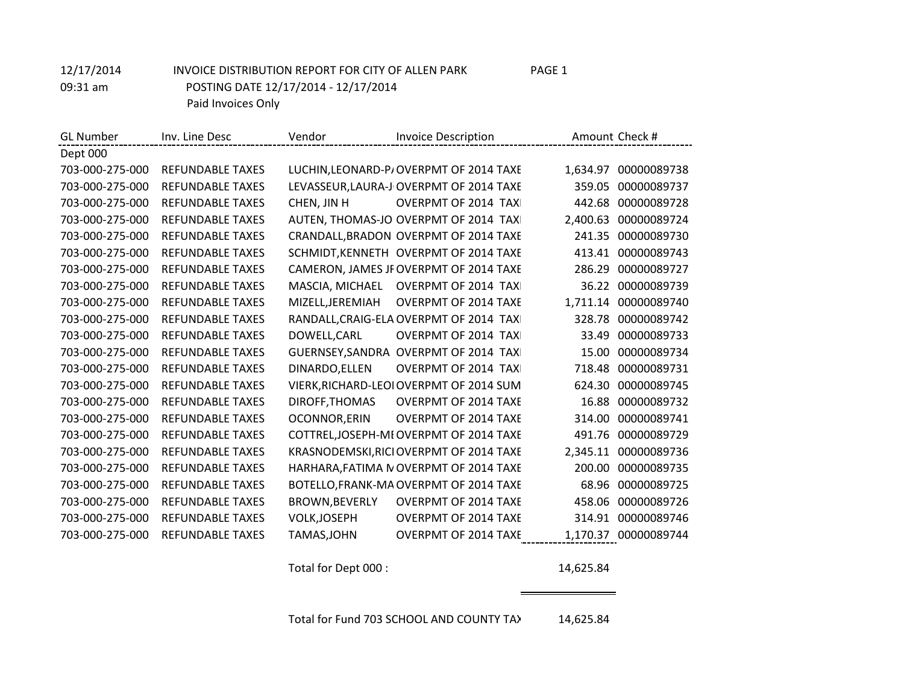12/17/2014 INVOICE DISTRIBUTION REPORT FOR CITY OF ALLEN PARK PAGE 1

09:31 am POSTING DATE 12/17/2014 - 12/17/2014 Paid Invoices Only

| <b>GL</b> Number | Inv. Line Desc          | Vendor           | Invoice Description                      |          | Amount Check #       |
|------------------|-------------------------|------------------|------------------------------------------|----------|----------------------|
| Dept 000         |                         |                  |                                          |          |                      |
| 703-000-275-000  | <b>REFUNDABLE TAXES</b> |                  | LUCHIN, LEONARD-P/OVERPMT OF 2014 TAXE   | 1,634.97 | 00000089738          |
| 703-000-275-000  | <b>REFUNDABLE TAXES</b> |                  | LEVASSEUR, LAURA-JI OVERPMT OF 2014 TAXE | 359.05   | 00000089737          |
| 703-000-275-000  | <b>REFUNDABLE TAXES</b> | CHEN, JIN H      | <b>OVERPMT OF 2014 TAX</b>               |          | 442.68 00000089728   |
| 703-000-275-000  | <b>REFUNDABLE TAXES</b> |                  | AUTEN, THOMAS-JOI OVERPMT OF 2014 TAXI   | 2,400.63 | 00000089724          |
| 703-000-275-000  | <b>REFUNDABLE TAXES</b> |                  | CRANDALL, BRADON OVERPMT OF 2014 TAXE    |          | 241.35 00000089730   |
| 703-000-275-000  | <b>REFUNDABLE TAXES</b> |                  | SCHMIDT, KENNETH OVERPMT OF 2014 TAXE    | 413.41   | 00000089743          |
| 703-000-275-000  | <b>REFUNDABLE TAXES</b> |                  | CAMERON, JAMES JF OVERPMT OF 2014 TAXE   | 286.29   | 00000089727          |
| 703-000-275-000  | <b>REFUNDABLE TAXES</b> | MASCIA, MICHAEL  | <b>OVERPMT OF 2014 TAX</b>               | 36.22    | 00000089739          |
| 703-000-275-000  | <b>REFUNDABLE TAXES</b> | MIZELL, JEREMIAH | <b>OVERPMT OF 2014 TAXE</b>              |          | 1,711.14 00000089740 |
| 703-000-275-000  | <b>REFUNDABLE TAXES</b> |                  | RANDALL, CRAIG-ELA OVERPMT OF 2014 TAX   | 328.78   | 00000089742          |
| 703-000-275-000  | <b>REFUNDABLE TAXES</b> | DOWELL, CARL     | <b>OVERPMT OF 2014 TAX</b>               | 33.49    | 00000089733          |
| 703-000-275-000  | <b>REFUNDABLE TAXES</b> |                  | GUERNSEY, SANDRA OVERPMT OF 2014 TAX     | 15.00    | 00000089734          |
| 703-000-275-000  | <b>REFUNDABLE TAXES</b> | DINARDO, ELLEN   | <b>OVERPMT OF 2014 TAXI</b>              |          | 718.48 00000089731   |
| 703-000-275-000  | <b>REFUNDABLE TAXES</b> |                  | VIERK, RICHARD-LEOI OVERPMT OF 2014 SUM  | 624.30   | 00000089745          |
| 703-000-275-000  | <b>REFUNDABLE TAXES</b> | DIROFF, THOMAS   | <b>OVERPMT OF 2014 TAXE</b>              | 16.88    | 00000089732          |
| 703-000-275-000  | <b>REFUNDABLE TAXES</b> | OCONNOR, ERIN    | <b>OVERPMT OF 2014 TAXE</b>              | 314.00   | 00000089741          |
| 703-000-275-000  | <b>REFUNDABLE TAXES</b> |                  | COTTREL, JOSEPH-MI OVERPMT OF 2014 TAXE  | 491.76   | 00000089729          |
| 703-000-275-000  | <b>REFUNDABLE TAXES</b> |                  | KRASNODEMSKI, RICI OVERPMT OF 2014 TAXE  | 2,345.11 | 00000089736          |
| 703-000-275-000  | <b>REFUNDABLE TAXES</b> |                  | HARHARA, FATIMA IV OVERPMT OF 2014 TAXE  | 200.00   | 00000089735          |
| 703-000-275-000  | <b>REFUNDABLE TAXES</b> |                  | BOTELLO, FRANK-MA OVERPMT OF 2014 TAXE   | 68.96    | 00000089725          |
| 703-000-275-000  | <b>REFUNDABLE TAXES</b> | BROWN, BEVERLY   | <b>OVERPMT OF 2014 TAXE</b>              | 458.06   | 00000089726          |
| 703-000-275-000  | <b>REFUNDABLE TAXES</b> | VOLK, JOSEPH     | <b>OVERPMT OF 2014 TAXE</b>              | 314.91   | 00000089746          |
| 703-000-275-000  | REFUNDABLE TAXES        | TAMAS, JOHN      | <b>OVERPMT OF 2014 TAXE</b>              | 1,170.37 | 00000089744          |

Total for Dept 000 : 14,625.84

Total for Fund 703 SCHOOL AND COUNTY TA> 14,625.84